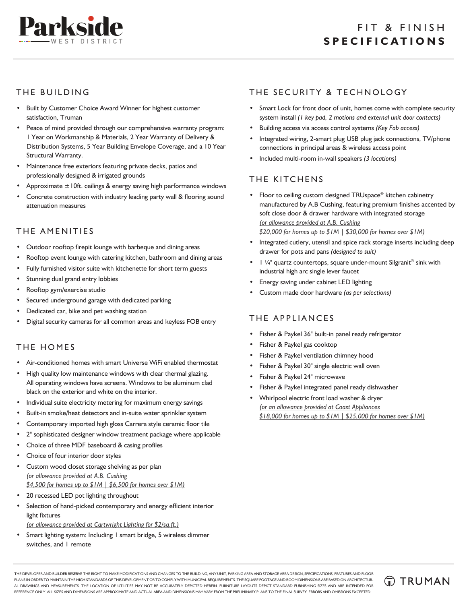

### THE BUILDING

- Built by Customer Choice Award Winner for highest customer satisfaction, Truman
- Peace of mind provided through our comprehensive warranty program: 1 Year on Workmanship & Materials, 2 Year Warranty of Delivery & Distribution Systems, 5 Year Building Envelope Coverage, and a 10 Year Structural Warranty.
- Maintenance free exteriors featuring private decks, patios and professionally designed & irrigated grounds
- Approximate  $\pm$  10ft. ceilings & energy saving high performance windows
- Concrete construction with industry leading party wall & flooring sound attenuation measures

#### THE AMENITIES

- Outdoor rooftop firepit lounge with barbeque and dining areas
- Rooftop event lounge with catering kitchen, bathroom and dining areas
- Fully furnished visitor suite with kitchenette for short term guests
- Stunning dual grand entry lobbies
- Rooftop gym/exercise studio
- Secured underground garage with dedicated parking
- Dedicated car, bike and pet washing station
- Digital security cameras for all common areas and keyless FOB entry

#### THE HOMES

- Air-conditioned homes with smart Universe WiFi enabled thermostat
- High quality low maintenance windows with clear thermal glazing. All operating windows have screens. Windows to be aluminum clad black on the exterior and white on the interior.
- Individual suite electricity metering for maximum energy savings
- Built-in smoke/heat detectors and in-suite water sprinkler system
- Contemporary imported high gloss Carrera style ceramic floor tile
- 2" sophisticated designer window treatment package where applicable
- Choice of three MDF baseboard & casing profiles
- Choice of four interior door styles
- Custom wood closet storage shelving as per plan *(or allowance provided at A.B. Cushing \$4,500 for homes up to \$1M | \$6,500 for homes over \$1M)*
- 20 recessed LED pot lighting throughout
- Selection of hand-picked contemporary and energy efficient interior light fixtures

*(or allowance provided at Cartwright Lighting for \$2/sq.ft.)*

• Smart lighting system: Including 1 smart bridge, 5 wireless dimmer switches, and 1 remote

# THE SECURITY & TECHNOLOGY

- Smart Lock for front door of unit, homes come with complete security system install *(1 key pad, 2 motions and external unit door contacts)*
- Building access via access control systems *(Key Fob access)*
- Integrated wiring, 2-smart plug USB plug jack connections, TV/phone connections in principal areas & wireless access point
- Included multi-room in-wall speakers *(3 locations)*

## THE KITCHENS

- Floor to ceiling custom designed TRUspace® kitchen cabinetry manufactured by A.B Cushing, featuring premium finishes accented by soft close door & drawer hardware with integrated storage *(or allowance provided at A.B. Cushing \$20,000 for homes up to \$1M | \$30,000 for homes over \$1M)*
- Integrated cutlery, utensil and spice rack storage inserts including deep drawer for pots and pans *(designed to suit)*
- $\Box$  /4" quartz countertops, square under-mount Silgranit<sup>®</sup> sink with industrial high arc single lever faucet
- Energy saving under cabinet LED lighting
- Custom made door hardware *(as per selections)*

#### THE APPLIANCES

- Fisher & Paykel 36" built-in panel ready refrigerator
- Fisher & Paykel gas cooktop
- Fisher & Paykel ventilation chimney hood
- Fisher & Paykel 30" single electric wall oven
- Fisher & Paykel 24" microwave
- Fisher & Paykel integrated panel ready dishwasher
- Whirlpool electric front load washer & dryer *(or an allowance provided at Coast Appliances \$18,000 for homes up to \$1M | \$25,000 for homes over \$1M)*